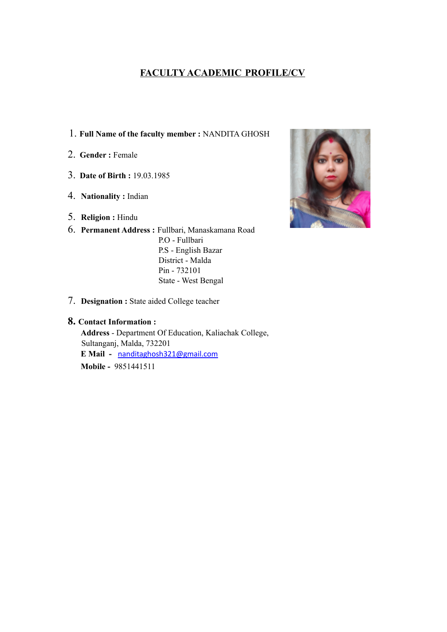# **FACULTY ACADEMIC PROFILE/CV**

- 1. **Full Name of the faculty member :** NANDITA GHOSH
- 2. **Gender :** Female
- 3. **Date of Birth :** 19.03.1985
- 4. **Nationality :** Indian
- 5. **Religion :** Hindu
- 6. **Permanent Address :** Fullbari, Manaskamana Road P.O - Fullbari P.S - English Bazar District - Malda Pin - 732101 State - West Bengal



7. **Designation :** State aided College teacher

### **8. Contact Information :**

**Address** - Department Of Education, Kaliachak College, Sultanganj, Malda, 732201 **E Mail -** nanditaghosh321@gmail.com **Mobile -** 9851441511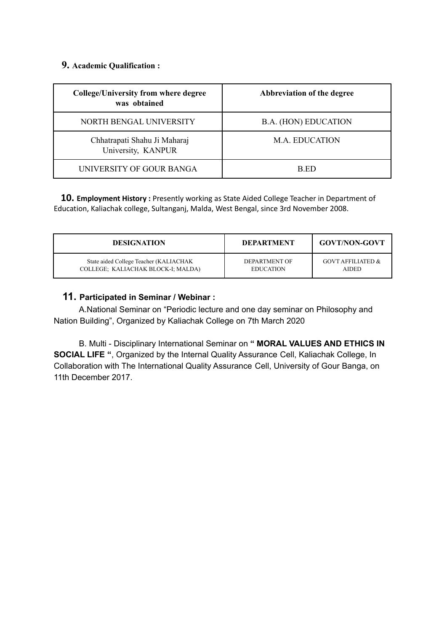## **9. Academic Qualification :**

| <b>College/University from where degree</b><br>was obtained | Abbreviation of the degree  |  |
|-------------------------------------------------------------|-----------------------------|--|
| NORTH BENGAL UNIVERSITY                                     | <b>B.A. (HON) EDUCATION</b> |  |
| Chhatrapati Shahu Ji Maharaj<br>University, KANPUR          | M.A. EDUCATION              |  |
| UNIVERSITY OF GOUR BANGA                                    | B ED                        |  |

**10. Employment History :** Presently working as State Aided College Teacher in Department of Education, Kaliachak college, Sultanganj, Malda, West Bengal, since 3rd November 2008.

| <b>DESIGNATION</b>                     | <b>DEPARTMENT</b> | <b>GOVT/NON-GOVT</b>         |
|----------------------------------------|-------------------|------------------------------|
| State aided College Teacher (KALIACHAK | DEPARTMENT OF     | <b>GOVT AFFILIATED &amp;</b> |
| COLLEGE; KALIACHAK BLOCK-I; MALDA)     | <b>EDUCATION</b>  | <b>AIDED</b>                 |

## **11. Participated in Seminar / Webinar :**

A.National Seminar on "Periodic lecture and one day seminar on Philosophy and Nation Building", Organized by Kaliachak College on 7th March 2020

B. Multi - Disciplinary International Seminar on **" MORAL VALUES AND ETHICS IN SOCIAL LIFE "**, Organized by the Internal Quality Assurance Cell, Kaliachak College, In Collaboration with The International Quality Assurance Cell, University of Gour Banga, on 11th December 2017.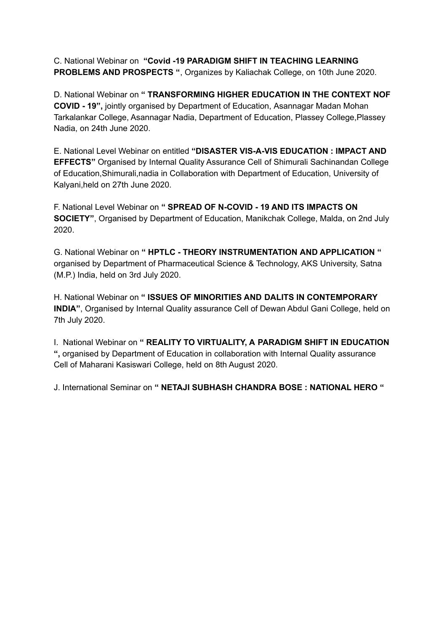C. National Webinar on **"Covid -19 PARADIGM SHIFT IN TEACHING LEARNING PROBLEMS AND PROSPECTS "**, Organizes by Kaliachak College, on 10th June 2020.

D. National Webinar on **" TRANSFORMING HIGHER EDUCATION IN THE CONTEXT NOF COVID - 19",** jointly organised by Department of Education, Asannagar Madan Mohan Tarkalankar College, Asannagar Nadia, Department of Education, Plassey College,Plassey Nadia, on 24th June 2020.

E. National Level Webinar on entitled **"DISASTER VIS-A-VIS EDUCATION : IMPACT AND EFFECTS"** Organised by Internal Quality Assurance Cell of Shimurali Sachinandan College of Education,Shimurali,nadia in Collaboration with Department of Education, University of Kalyani,held on 27th June 2020.

F. National Level Webinar on **" SPREAD OF N-COVID - 19 AND ITS IMPACTS ON SOCIETY"**, Organised by Department of Education, Manikchak College, Malda, on 2nd July 2020.

G. National Webinar on **" HPTLC - THEORY INSTRUMENTATION AND APPLICATION "** organised by Department of Pharmaceutical Science & Technology, AKS University, Satna (M.P.) India, held on 3rd July 2020.

H. National Webinar on **" ISSUES OF MINORITIES AND DALITS IN CONTEMPORARY INDIA"**, Organised by Internal Quality assurance Cell of Dewan Abdul Gani College, held on 7th July 2020.

I. National Webinar on **" REALITY TO VIRTUALITY, A PARADIGM SHIFT IN EDUCATION ",** organised by Department of Education in collaboration with Internal Quality assurance Cell of Maharani Kasiswari College, held on 8th August 2020.

J. International Seminar on **" NETAJI SUBHASH CHANDRA BOSE : NATIONAL HERO "**